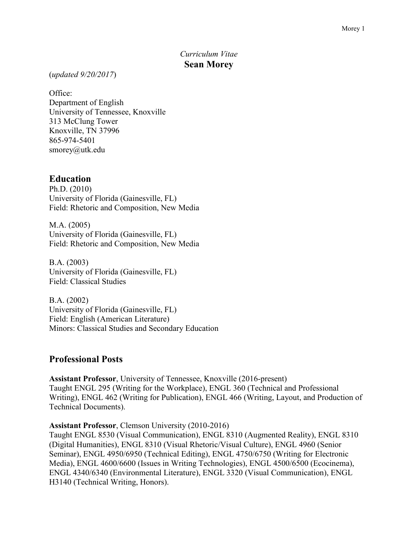# *Curriculum Vitae* **Sean Morey**

(*updated 9/20/2017*)

Office: Department of English University of Tennessee, Knoxville 313 McClung Tower Knoxville, TN 37996 865-974-5401 smorey@utk.edu

#### **Education**

Ph.D. (2010) University of Florida (Gainesville, FL) Field: Rhetoric and Composition, New Media

M.A. (2005) University of Florida (Gainesville, FL) Field: Rhetoric and Composition, New Media

B.A. (2003) University of Florida (Gainesville, FL) Field: Classical Studies

B.A. (2002) University of Florida (Gainesville, FL) Field: English (American Literature) Minors: Classical Studies and Secondary Education

### **Professional Posts**

**Assistant Professor**, University of Tennessee, Knoxville (2016-present) Taught ENGL 295 (Writing for the Workplace), ENGL 360 (Technical and Professional Writing), ENGL 462 (Writing for Publication), ENGL 466 (Writing, Layout, and Production of Technical Documents).

**Assistant Professor**, Clemson University (2010-2016)

Taught ENGL 8530 (Visual Communication), ENGL 8310 (Augmented Reality), ENGL 8310 (Digital Humanities), ENGL 8310 (Visual Rhetoric/Visual Culture), ENGL 4960 (Senior Seminar), ENGL 4950/6950 (Technical Editing), ENGL 4750/6750 (Writing for Electronic Media), ENGL 4600/6600 (Issues in Writing Technologies), ENGL 4500/6500 (Ecocinema), ENGL 4340/6340 (Environmental Literature), ENGL 3320 (Visual Communication), ENGL H3140 (Technical Writing, Honors).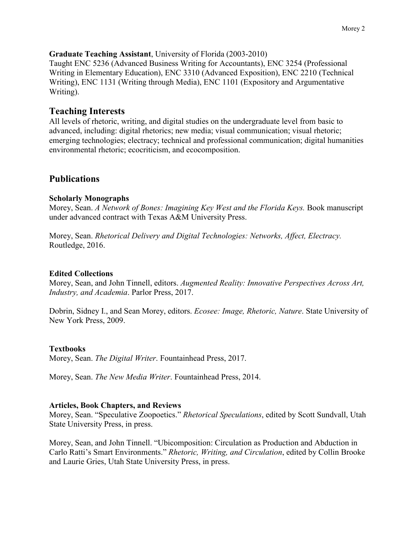Taught ENC 5236 (Advanced Business Writing for Accountants), ENC 3254 (Professional Writing in Elementary Education), ENC 3310 (Advanced Exposition), ENC 2210 (Technical Writing), ENC 1131 (Writing through Media), ENC 1101 (Expository and Argumentative Writing).

# **Teaching Interests**

All levels of rhetoric, writing, and digital studies on the undergraduate level from basic to advanced, including: digital rhetorics; new media; visual communication; visual rhetoric; emerging technologies; electracy; technical and professional communication; digital humanities environmental rhetoric; ecocriticism, and ecocomposition.

# **Publications**

# **Scholarly Monographs**

Morey, Sean. *A Network of Bones: Imagining Key West and the Florida Keys.* Book manuscript under advanced contract with Texas A&M University Press.

Morey, Sean. *Rhetorical Delivery and Digital Technologies: Networks, Affect, Electracy.* Routledge, 2016.

# **Edited Collections**

Morey, Sean, and John Tinnell, editors. *Augmented Reality: Innovative Perspectives Across Art, Industry, and Academia*. Parlor Press, 2017.

Dobrin, Sidney I., and Sean Morey, editors. *Ecosee: Image, Rhetoric, Nature*. State University of New York Press, 2009.

# **Textbooks**

Morey, Sean. *The Digital Writer*. Fountainhead Press, 2017.

Morey, Sean. *The New Media Writer*. Fountainhead Press, 2014.

# **Articles, Book Chapters, and Reviews**

Morey, Sean. "Speculative Zoopoetics." *Rhetorical Speculations*, edited by Scott Sundvall, Utah State University Press, in press.

Morey, Sean, and John Tinnell. "Ubicomposition: Circulation as Production and Abduction in Carlo Ratti's Smart Environments." *Rhetoric, Writing, and Circulation*, edited by Collin Brooke and Laurie Gries, Utah State University Press, in press.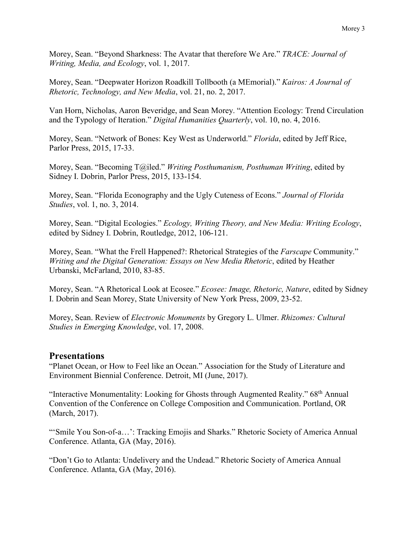Morey, Sean. "Beyond Sharkness: The Avatar that therefore We Are." *TRACE: Journal of Writing, Media, and Ecology*, vol. 1, 2017.

Morey, Sean. "Deepwater Horizon Roadkill Tollbooth (a MEmorial)." *Kairos: A Journal of Rhetoric, Technology, and New Media*, vol. 21, no. 2, 2017.

Van Horn, Nicholas, Aaron Beveridge, and Sean Morey. "Attention Ecology: Trend Circulation and the Typology of Iteration." *Digital Humanities Quarterly*, vol. 10, no. 4, 2016.

Morey, Sean. "Network of Bones: Key West as Underworld." *Florida*, edited by Jeff Rice, Parlor Press, 2015, 17-33.

Morey, Sean. "Becoming T@iled." *Writing Posthumanism, Posthuman Writing*, edited by Sidney I. Dobrin, Parlor Press, 2015, 133-154.

Morey, Sean. "Florida Econography and the Ugly Cuteness of Econs." *Journal of Florida Studies*, vol. 1, no. 3, 2014.

Morey, Sean. "Digital Ecologies." *Ecology, Writing Theory, and New Media: Writing Ecology*, edited by Sidney I. Dobrin, Routledge, 2012, 106-121.

Morey, Sean. "What the Frell Happened?: Rhetorical Strategies of the *Farscape* Community." *Writing and the Digital Generation: Essays on New Media Rhetoric*, edited by Heather Urbanski, McFarland, 2010, 83-85.

Morey, Sean. "A Rhetorical Look at Ecosee." *Ecosee: Image, Rhetoric, Nature*, edited by Sidney I. Dobrin and Sean Morey, State University of New York Press, 2009, 23-52.

Morey, Sean. Review of *Electronic Monuments* by Gregory L. Ulmer. *Rhizomes: Cultural Studies in Emerging Knowledge*, vol. 17, 2008.

# **Presentations**

"Planet Ocean, or How to Feel like an Ocean." Association for the Study of Literature and Environment Biennial Conference. Detroit, MI (June, 2017).

"Interactive Monumentality: Looking for Ghosts through Augmented Reality."  $68<sup>th</sup>$  Annual Convention of the Conference on College Composition and Communication. Portland, OR (March, 2017).

"'Smile You Son-of-a...': Tracking Emojis and Sharks." Rhetoric Society of America Annual Conference. Atlanta, GA (May, 2016).

"Don't Go to Atlanta: Undelivery and the Undead." Rhetoric Society of America Annual Conference. Atlanta, GA (May, 2016).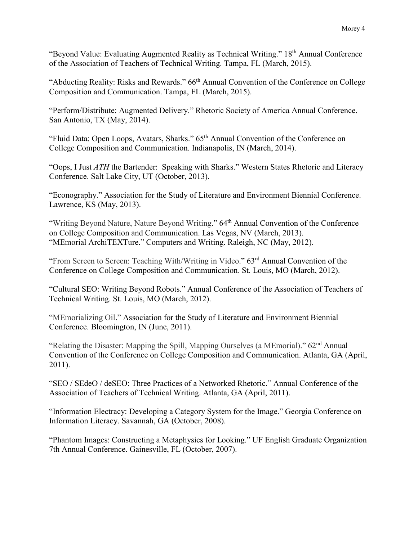"Beyond Value: Evaluating Augmented Reality as Technical Writing." 18<sup>th</sup> Annual Conference of the Association of Teachers of Technical Writing. Tampa, FL (March, 2015).

"Abducting Reality: Risks and Rewards." 66<sup>th</sup> Annual Convention of the Conference on College Composition and Communication. Tampa, FL (March, 2015).

"Perform/Distribute: Augmented Delivery." Rhetoric Society of America Annual Conference. San Antonio, TX (May, 2014).

"Fluid Data: Open Loops, Avatars, Sharks." 65<sup>th</sup> Annual Convention of the Conference on College Composition and Communication. Indianapolis, IN (March, 2014).

"Oops, I Just *ATH* the Bartender: Speaking with Sharks." Western States Rhetoric and Literacy Conference. Salt Lake City, UT (October, 2013).

"Econography." Association for the Study of Literature and Environment Biennial Conference. Lawrence, KS (May, 2013).

"Writing Beyond Nature, Nature Beyond Writing." 64<sup>th</sup> Annual Convention of the Conference on College Composition and Communication. Las Vegas, NV (March, 2013). "MEmorial ArchiTEXTure." Computers and Writing. Raleigh, NC (May, 2012).

"From Screen to Screen: Teaching With/Writing in Video." 63rd Annual Convention of the Conference on College Composition and Communication. St. Louis, MO (March, 2012).

"Cultural SEO: Writing Beyond Robots." Annual Conference of the Association of Teachers of Technical Writing. St. Louis, MO (March, 2012).

"MEmorializing Oil." Association for the Study of Literature and Environment Biennial Conference. Bloomington, IN (June, 2011).

"Relating the Disaster: Mapping the Spill, Mapping Ourselves (a MEmorial)." 62<sup>nd</sup> Annual Convention of the Conference on College Composition and Communication. Atlanta, GA (April, 2011).

"SEO / SEdeO / deSEO: Three Practices of a Networked Rhetoric." Annual Conference of the Association of Teachers of Technical Writing. Atlanta, GA (April, 2011).

"Information Electracy: Developing a Category System for the Image." Georgia Conference on Information Literacy. Savannah, GA (October, 2008).

"Phantom Images: Constructing a Metaphysics for Looking." UF English Graduate Organization 7th Annual Conference. Gainesville, FL (October, 2007).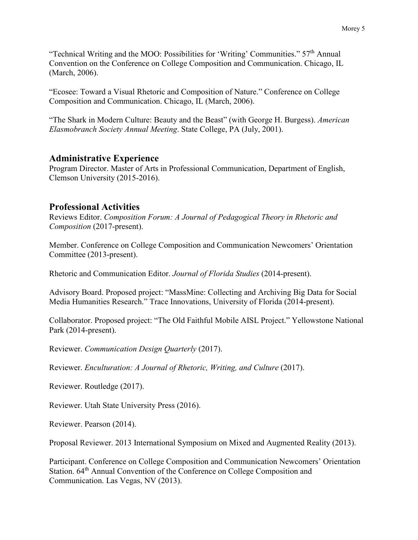"Technical Writing and the MOO: Possibilities for 'Writing' Communities."  $57<sup>th</sup>$  Annual Convention on the Conference on College Composition and Communication. Chicago, IL (March, 2006).

"Ecosee: Toward a Visual Rhetoric and Composition of Nature." Conference on College Composition and Communication. Chicago, IL (March, 2006).

"The Shark in Modern Culture: Beauty and the Beast" (with George H. Burgess). *American Elasmobranch Society Annual Meeting*. State College, PA (July, 2001).

### **Administrative Experience**

Program Director. Master of Arts in Professional Communication, Department of English, Clemson University (2015-2016).

### **Professional Activities**

Reviews Editor. *Composition Forum: A Journal of Pedagogical Theory in Rhetoric and Composition* (2017-present).

Member. Conference on College Composition and Communication Newcomers' Orientation Committee (2013-present).

Rhetoric and Communication Editor. *Journal of Florida Studies* (2014-present).

Advisory Board. Proposed project: "MassMine: Collecting and Archiving Big Data for Social Media Humanities Research." Trace Innovations, University of Florida (2014-present).

Collaborator. Proposed project: "The Old Faithful Mobile AISL Project." Yellowstone National Park (2014-present).

Reviewer. *Communication Design Quarterly* (2017).

Reviewer. *Enculturation: A Journal of Rhetoric, Writing, and Culture* (2017).

Reviewer. Routledge (2017).

Reviewer. Utah State University Press (2016).

Reviewer. Pearson (2014).

Proposal Reviewer. 2013 International Symposium on Mixed and Augmented Reality (2013).

Participant. Conference on College Composition and Communication Newcomers' Orientation Station. 64<sup>th</sup> Annual Convention of the Conference on College Composition and Communication. Las Vegas, NV (2013).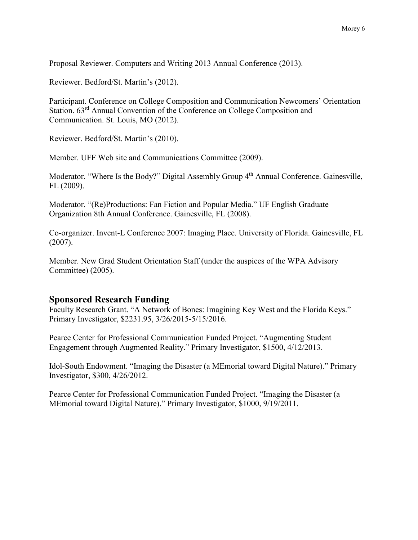Proposal Reviewer. Computers and Writing 2013 Annual Conference (2013).

Reviewer. Bedford/St. Martin's (2012).

Participant. Conference on College Composition and Communication Newcomers' Orientation Station. 63rd Annual Convention of the Conference on College Composition and Communication. St. Louis, MO (2012).

Reviewer. Bedford/St. Martin's (2010).

Member. UFF Web site and Communications Committee (2009).

Moderator. "Where Is the Body?" Digital Assembly Group 4<sup>th</sup> Annual Conference. Gainesville, FL (2009).

Moderator. "(Re)Productions: Fan Fiction and Popular Media." UF English Graduate Organization 8th Annual Conference. Gainesville, FL (2008).

Co-organizer. Invent-L Conference 2007: Imaging Place. University of Florida. Gainesville, FL (2007).

Member. New Grad Student Orientation Staff (under the auspices of the WPA Advisory Committee) (2005).

### **Sponsored Research Funding**

Faculty Research Grant. "A Network of Bones: Imagining Key West and the Florida Keys." Primary Investigator, \$2231.95, 3/26/2015-5/15/2016.

Pearce Center for Professional Communication Funded Project. "Augmenting Student Engagement through Augmented Reality." Primary Investigator, \$1500, 4/12/2013.

Idol-South Endowment. "Imaging the Disaster (a MEmorial toward Digital Nature)." Primary Investigator, \$300, 4/26/2012.

Pearce Center for Professional Communication Funded Project. "Imaging the Disaster (a MEmorial toward Digital Nature)." Primary Investigator, \$1000, 9/19/2011.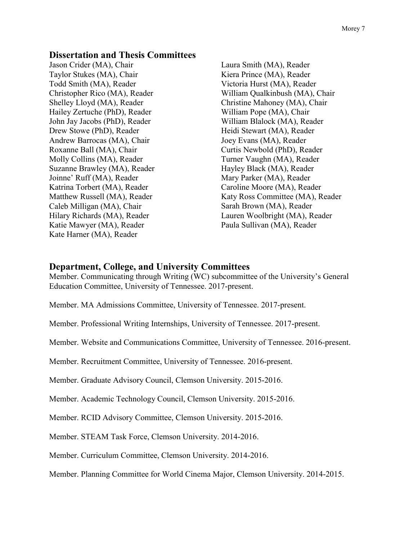#### **Dissertation and Thesis Committees**

Jason Crider (MA), Chair Taylor Stukes (MA), Chair Todd Smith (MA), Reader Christopher Rico (MA), Reader Shelley Lloyd (MA), Reader Hailey Zertuche (PhD), Reader John Jay Jacobs (PhD), Reader Drew Stowe (PhD), Reader Andrew Barrocas (MA), Chair Roxanne Ball (MA), Chair Molly Collins (MA), Reader Suzanne Brawley (MA), Reader Joinne' Ruff (MA), Reader Katrina Torbert (MA), Reader Matthew Russell (MA), Reader Caleb Milligan (MA), Chair Hilary Richards (MA), Reader Katie Mawyer (MA), Reader Kate Harner (MA), Reader

Laura Smith (MA), Reader Kiera Prince (MA), Reader Victoria Hurst (MA), Reader William Qualkinbush (MA), Chair Christine Mahoney (MA), Chair William Pope (MA), Chair William Blalock (MA), Reader Heidi Stewart (MA), Reader Joey Evans (MA), Reader Curtis Newbold (PhD), Reader Turner Vaughn (MA), Reader Hayley Black (MA), Reader Mary Parker (MA), Reader Caroline Moore (MA), Reader Katy Ross Committee (MA), Reader Sarah Brown (MA), Reader Lauren Woolbright (MA), Reader Paula Sullivan (MA), Reader

#### **Department, College, and University Committees**

Member. Communicating through Writing (WC) subcommittee of the University's General Education Committee, University of Tennessee. 2017-present.

Member. MA Admissions Committee, University of Tennessee. 2017-present.

Member. Professional Writing Internships, University of Tennessee. 2017-present.

Member. Website and Communications Committee, University of Tennessee. 2016-present.

Member. Recruitment Committee, University of Tennessee. 2016-present.

Member. Graduate Advisory Council, Clemson University. 2015-2016.

Member. Academic Technology Council, Clemson University. 2015-2016.

Member. RCID Advisory Committee, Clemson University. 2015-2016.

Member. STEAM Task Force, Clemson University. 2014-2016.

Member. Curriculum Committee, Clemson University. 2014-2016.

Member. Planning Committee for World Cinema Major, Clemson University. 2014-2015.